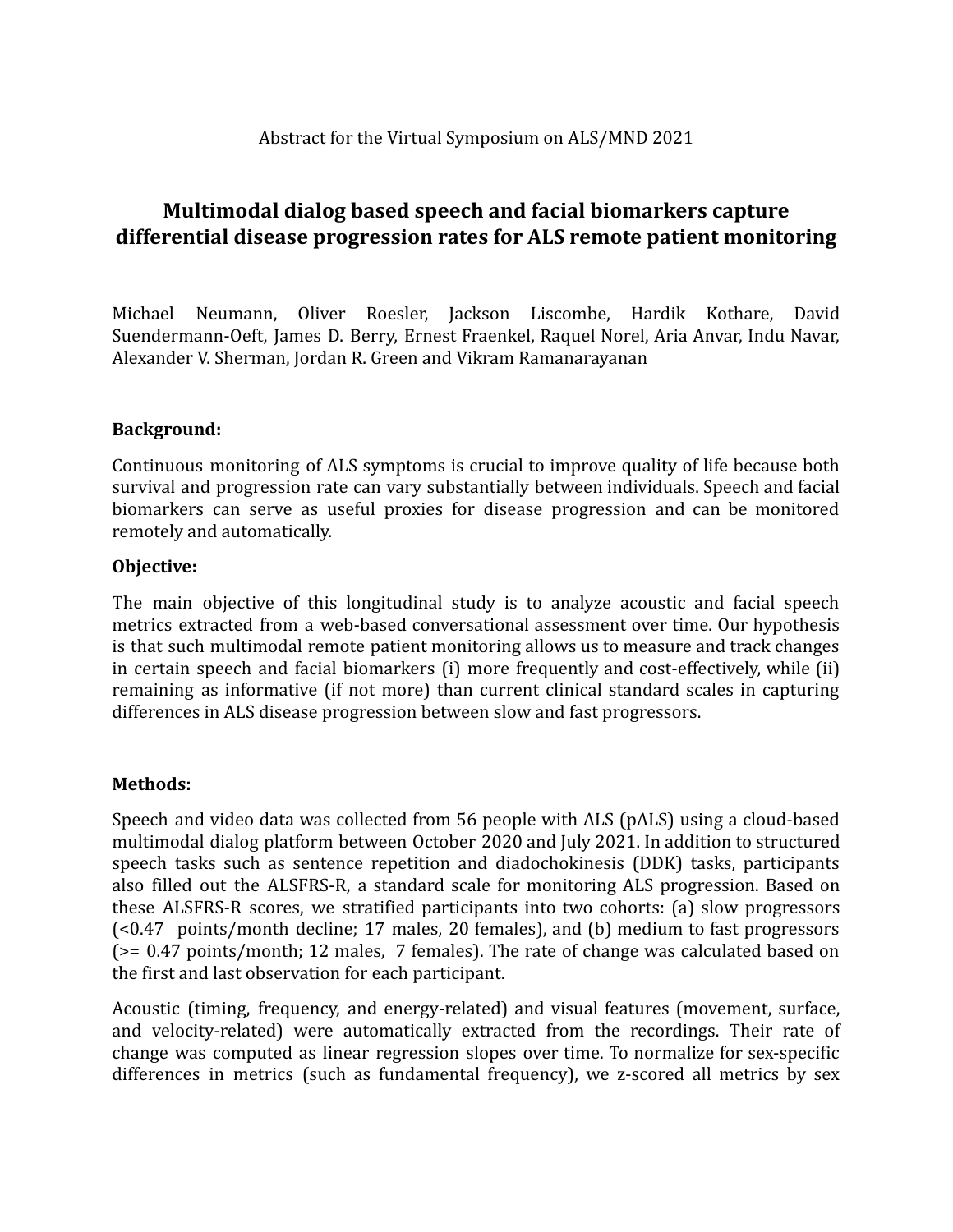# **Multimodal dialog based speech and facial biomarkers capture differential disease progression rates for ALS remote patient monitoring**

Michael Neumann, Oliver Roesler, Jackson Liscombe, Hardik Kothare, David Suendermann-Oeft, James D. Berry, Ernest Fraenkel, Raquel Norel, Aria Anvar, Indu Navar, Alexander V. Sherman, Jordan R. Green and Vikram Ramanarayanan

## **Background:**

Continuous monitoring of ALS symptoms is crucial to improve quality of life because both survival and progression rate can vary substantially between individuals. Speech and facial biomarkers can serve as useful proxies for disease progression and can be monitored remotely and automatically.

### **Objective:**

The main objective of this longitudinal study is to analyze acoustic and facial speech metrics extracted from a web-based conversational assessment over time. Our hypothesis is that such multimodal remote patient monitoring allows us to measure and track changes in certain speech and facial biomarkers (i) more frequently and cost-effectively, while (ii) remaining as informative (if not more) than current clinical standard scales in capturing differences in ALS disease progression between slow and fast progressors.

## **Methods:**

Speech and video data was collected from 56 people with ALS (pALS) using a cloud-based multimodal dialog platform between October 2020 and July 2021. In addition to structured speech tasks such as sentence repetition and diadochokinesis (DDK) tasks, participants also filled out the ALSFRS-R, a standard scale for monitoring ALS progression. Based on these ALSFRS-R scores, we stratified participants into two cohorts: (a) slow progressors (<0.47 points/month decline; 17 males, 20 females), and (b) medium to fast progressors  $(>= 0.47$  points/month; 12 males, 7 females). The rate of change was calculated based on the first and last observation for each participant.

Acoustic (timing, frequency, and energy-related) and visual features (movement, surface, and velocity-related) were automatically extracted from the recordings. Their rate of change was computed as linear regression slopes over time. To normalize for sex-specific differences in metrics (such as fundamental frequency), we z-scored all metrics by sex